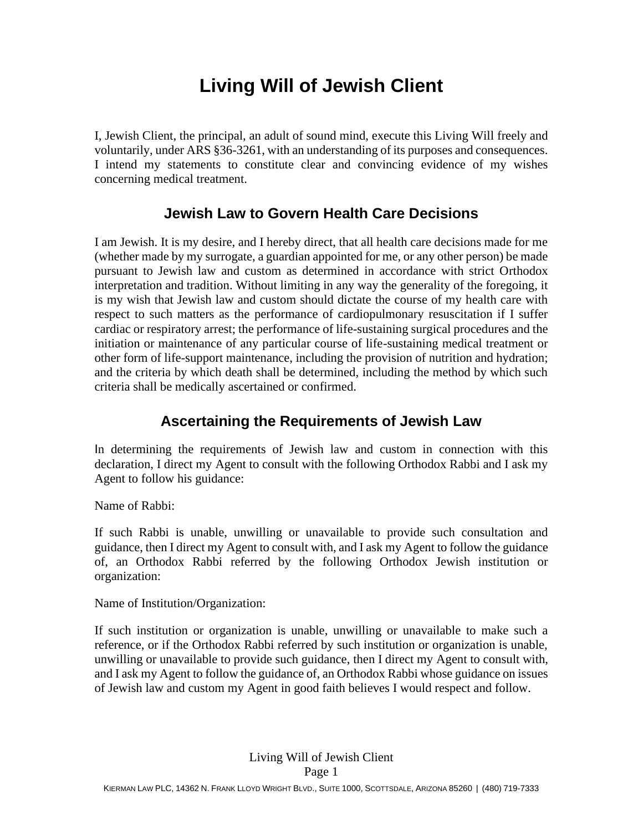# **Living Will of Jewish Client**

I, Jewish Client, the principal, an adult of sound mind, execute this Living Will freely and voluntarily, under ARS §36-3261, with an understanding of its purposes and consequences. I intend my statements to constitute clear and convincing evidence of my wishes concerning medical treatment.

## **Jewish Law to Govern Health Care Decisions**

I am Jewish. It is my desire, and I hereby direct, that all health care decisions made for me (whether made by my surrogate, a guardian appointed for me, or any other person) be made pursuant to Jewish law and custom as determined in accordance with strict Orthodox interpretation and tradition. Without limiting in any way the generality of the foregoing, it is my wish that Jewish law and custom should dictate the course of my health care with respect to such matters as the performance of cardiopulmonary resuscitation if I suffer cardiac or respiratory arrest; the performance of life-sustaining surgical procedures and the initiation or maintenance of any particular course of life-sustaining medical treatment or other form of life-support maintenance, including the provision of nutrition and hydration; and the criteria by which death shall be determined, including the method by which such criteria shall be medically ascertained or confirmed.

## **Ascertaining the Requirements of Jewish Law**

In determining the requirements of Jewish law and custom in connection with this declaration, I direct my Agent to consult with the following Orthodox Rabbi and I ask my Agent to follow his guidance:

Name of Rabbi:

If such Rabbi is unable, unwilling or unavailable to provide such consultation and guidance, then I direct my Agent to consult with, and I ask my Agent to follow the guidance of, an Orthodox Rabbi referred by the following Orthodox Jewish institution or organization:

Name of Institution/Organization:

If such institution or organization is unable, unwilling or unavailable to make such a reference, or if the Orthodox Rabbi referred by such institution or organization is unable, unwilling or unavailable to provide such guidance, then I direct my Agent to consult with, and I ask my Agent to follow the guidance of, an Orthodox Rabbi whose guidance on issues of Jewish law and custom my Agent in good faith believes I would respect and follow.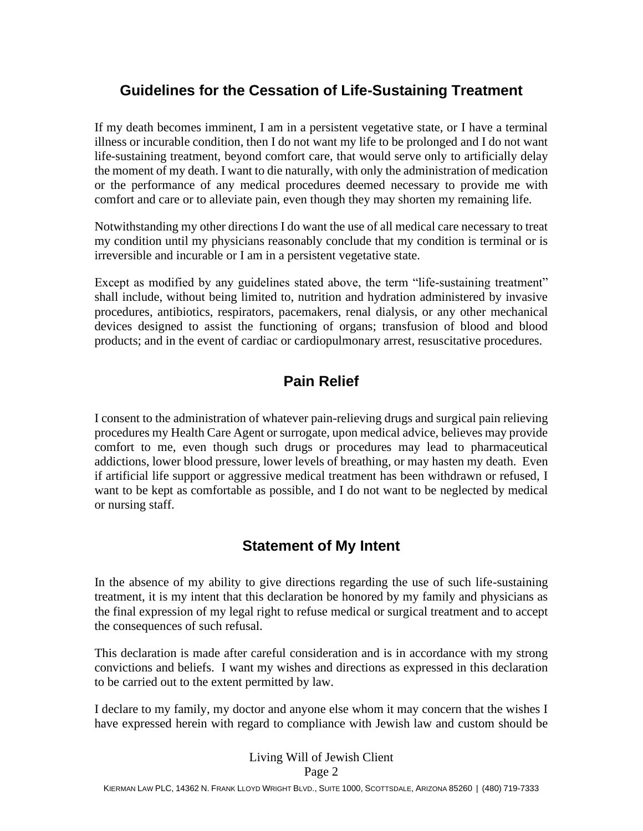## **Guidelines for the Cessation of Life-Sustaining Treatment**

If my death becomes imminent, I am in a persistent vegetative state, or I have a terminal illness or incurable condition, then I do not want my life to be prolonged and I do not want life-sustaining treatment, beyond comfort care, that would serve only to artificially delay the moment of my death. I want to die naturally, with only the administration of medication or the performance of any medical procedures deemed necessary to provide me with comfort and care or to alleviate pain, even though they may shorten my remaining life.

Notwithstanding my other directions I do want the use of all medical care necessary to treat my condition until my physicians reasonably conclude that my condition is terminal or is irreversible and incurable or I am in a persistent vegetative state.

Except as modified by any guidelines stated above, the term "life-sustaining treatment" shall include, without being limited to, nutrition and hydration administered by invasive procedures, antibiotics, respirators, pacemakers, renal dialysis, or any other mechanical devices designed to assist the functioning of organs; transfusion of blood and blood products; and in the event of cardiac or cardiopulmonary arrest, resuscitative procedures.

## **Pain Relief**

I consent to the administration of whatever pain-relieving drugs and surgical pain relieving procedures my Health Care Agent or surrogate, upon medical advice, believes may provide comfort to me, even though such drugs or procedures may lead to pharmaceutical addictions, lower blood pressure, lower levels of breathing, or may hasten my death. Even if artificial life support or aggressive medical treatment has been withdrawn or refused, I want to be kept as comfortable as possible, and I do not want to be neglected by medical or nursing staff.

#### **Statement of My Intent**

In the absence of my ability to give directions regarding the use of such life-sustaining treatment, it is my intent that this declaration be honored by my family and physicians as the final expression of my legal right to refuse medical or surgical treatment and to accept the consequences of such refusal.

This declaration is made after careful consideration and is in accordance with my strong convictions and beliefs. I want my wishes and directions as expressed in this declaration to be carried out to the extent permitted by law.

I declare to my family, my doctor and anyone else whom it may concern that the wishes I have expressed herein with regard to compliance with Jewish law and custom should be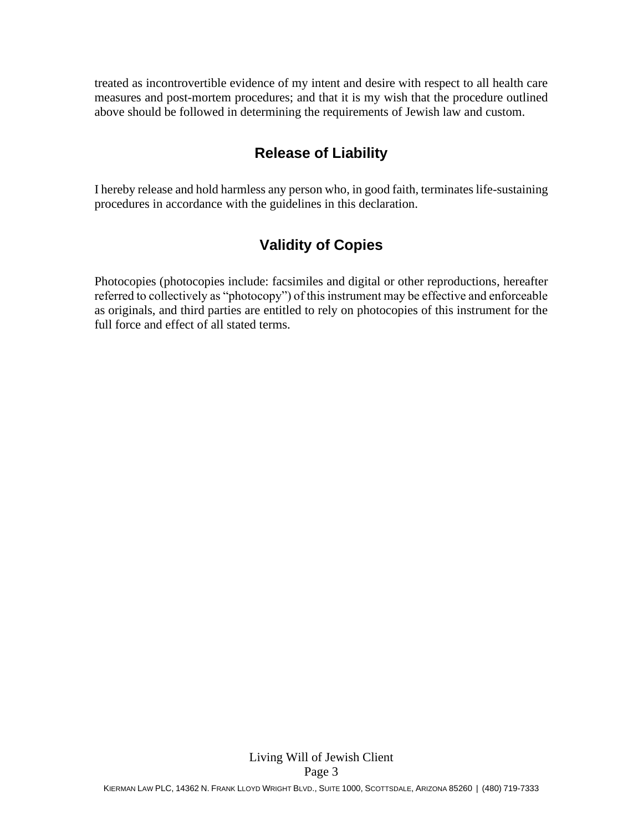treated as incontrovertible evidence of my intent and desire with respect to all health care measures and post-mortem procedures; and that it is my wish that the procedure outlined above should be followed in determining the requirements of Jewish law and custom.

## **Release of Liability**

I hereby release and hold harmless any person who, in good faith, terminates life-sustaining procedures in accordance with the guidelines in this declaration.

## **Validity of Copies**

Photocopies (photocopies include: facsimiles and digital or other reproductions, hereafter referred to collectively as "photocopy") of this instrument may be effective and enforceable as originals, and third parties are entitled to rely on photocopies of this instrument for the full force and effect of all stated terms.